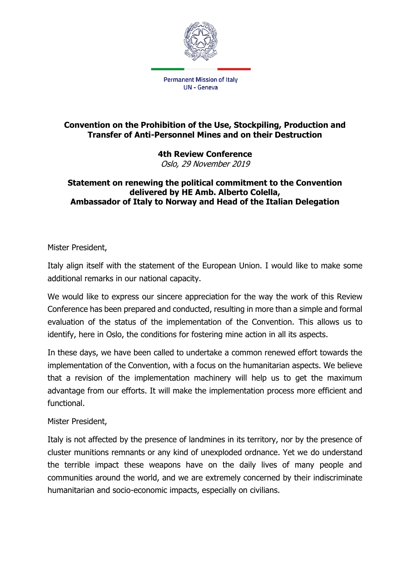

## **Convention on the Prohibition of the Use, Stockpiling, Production and Transfer of Anti-Personnel Mines and on their Destruction**

**4th Review Conference** Oslo, 29 November 2019

## **Statement on renewing the political commitment to the Convention delivered by HE Amb. Alberto Colella, Ambassador of Italy to Norway and Head of the Italian Delegation**

Mister President,

Italy align itself with the statement of the European Union. I would like to make some additional remarks in our national capacity.

We would like to express our sincere appreciation for the way the work of this Review Conference has been prepared and conducted, resulting in more than a simple and formal evaluation of the status of the implementation of the Convention. This allows us to identify, here in Oslo, the conditions for fostering mine action in all its aspects.

In these days, we have been called to undertake a common renewed effort towards the implementation of the Convention, with a focus on the humanitarian aspects. We believe that a revision of the implementation machinery will help us to get the maximum advantage from our efforts. It will make the implementation process more efficient and functional.

Mister President,

Italy is not affected by the presence of landmines in its territory, nor by the presence of cluster munitions remnants or any kind of unexploded ordnance. Yet we do understand the terrible impact these weapons have on the daily lives of many people and communities around the world, and we are extremely concerned by their indiscriminate humanitarian and socio-economic impacts, especially on civilians.